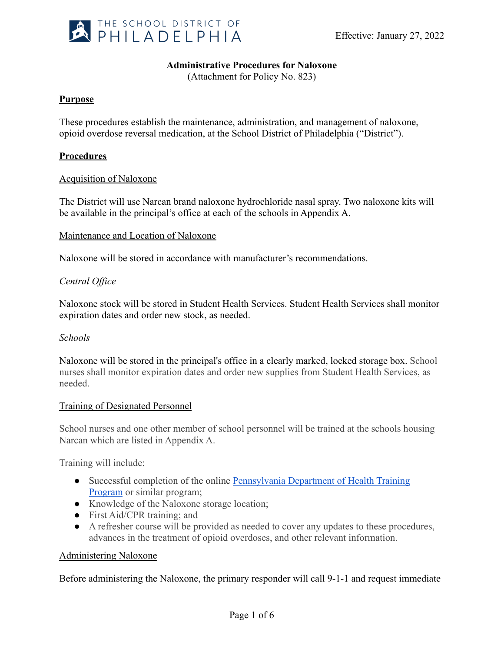

# **Administrative Procedures for Naloxone**

(Attachment for Policy No. 823)

# **Purpose**

These procedures establish the maintenance, administration, and management of naloxone, opioid overdose reversal medication, at the School District of Philadelphia ("District").

### **Procedures**

#### Acquisition of Naloxone

The District will use Narcan brand naloxone hydrochloride nasal spray. Two naloxone kits will be available in the principal's office at each of the schools in Appendix A.

#### Maintenance and Location of Naloxone

Naloxone will be stored in accordance with manufacturer's recommendations.

# *Central Office*

Naloxone stock will be stored in Student Health Services. Student Health Services shall monitor expiration dates and order new stock, as needed.

# *Schools*

Naloxone will be stored in the principal's office in a clearly marked, locked storage box. School nurses shall monitor expiration dates and order new supplies from Student Health Services, as needed.

#### Training of Designated Personnel

School nurses and one other member of school personnel will be trained at the schools housing Narcan which are listed in Appendix A.

Training will include:

- Successful completion of the online [Pennsylvania Department](https://www.train.org/pa/admin/course/1085469/) of Health Training [Program](https://www.train.org/pa/admin/course/1085469/) or similar program;
- Knowledge of the Naloxone storage location;
- First Aid/CPR training; and
- A refresher course will be provided as needed to cover any updates to these procedures, advances in the treatment of opioid overdoses, and other relevant information.

#### Administering Naloxone

Before administering the Naloxone, the primary responder will call 9-1-1 and request immediate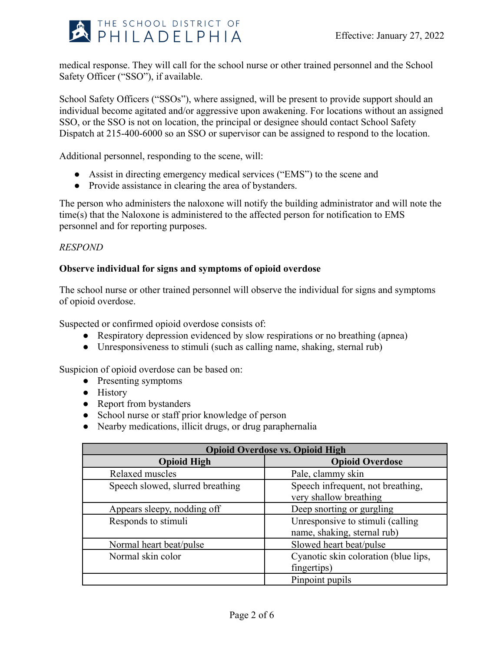

medical response. They will call for the school nurse or other trained personnel and the School Safety Officer ("SSO"), if available.

School Safety Officers ("SSOs"), where assigned, will be present to provide support should an individual become agitated and/or aggressive upon awakening. For locations without an assigned SSO, or the SSO is not on location, the principal or designee should contact School Safety Dispatch at 215-400-6000 so an SSO or supervisor can be assigned to respond to the location.

Additional personnel, responding to the scene, will:

- Assist in directing emergency medical services ("EMS") to the scene and
- Provide assistance in clearing the area of bystanders.

The person who administers the naloxone will notify the building administrator and will note the time(s) that the Naloxone is administered to the affected person for notification to EMS personnel and for reporting purposes.

# *RESPOND*

# **Observe individual for signs and symptoms of opioid overdose**

The school nurse or other trained personnel will observe the individual for signs and symptoms of opioid overdose.

Suspected or confirmed opioid overdose consists of:

- Respiratory depression evidenced by slow respirations or no breathing (apnea)
- Unresponsiveness to stimuli (such as calling name, shaking, sternal rub)

Suspicion of opioid overdose can be based on:

- Presenting symptoms
- History
- Report from bystanders
- School nurse or staff prior knowledge of person
- Nearby medications, illicit drugs, or drug paraphernalia

| <b>Opioid Overdose vs. Opioid High</b> |                                                                 |
|----------------------------------------|-----------------------------------------------------------------|
| <b>Opioid High</b>                     | <b>Opioid Overdose</b>                                          |
| Relaxed muscles                        | Pale, clammy skin                                               |
| Speech slowed, slurred breathing       | Speech infrequent, not breathing,<br>very shallow breathing     |
| Appears sleepy, nodding off            | Deep snorting or gurgling                                       |
| Responds to stimuli                    | Unresponsive to stimuli (calling<br>name, shaking, sternal rub) |
| Normal heart beat/pulse                | Slowed heart beat/pulse                                         |
| Normal skin color                      | Cyanotic skin coloration (blue lips,<br>fingertips)             |
|                                        | Pinpoint pupils                                                 |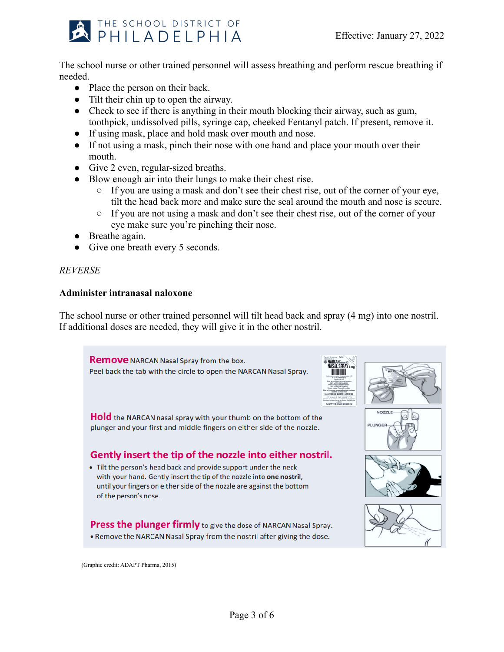

The school nurse or other trained personnel will assess breathing and perform rescue breathing if needed.

- Place the person on their back.
- Tilt their chin up to open the airway.
- Check to see if there is anything in their mouth blocking their airway, such as gum, toothpick, undissolved pills, syringe cap, cheeked Fentanyl patch. If present, remove it.
- If using mask, place and hold mask over mouth and nose.
- If not using a mask, pinch their nose with one hand and place your mouth over their mouth.
- Give 2 even, regular-sized breaths.
- Blow enough air into their lungs to make their chest rise.
	- If you are using a mask and don't see their chest rise, out of the corner of your eye, tilt the head back more and make sure the seal around the mouth and nose is secure.
	- If you are not using a mask and don't see their chest rise, out of the corner of your eye make sure you're pinching their nose.
- Breathe again.
- Give one breath every 5 seconds.

# *REVERSE*

# **Administer intranasal naloxone**

The school nurse or other trained personnel will tilt head back and spray (4 mg) into one nostril. If additional doses are needed, they will give it in the other nostril.

**Remove** NARCAN Nasal Spray from the box. Peel back the tab with the circle to open the NARCAN Nasal Spray.





**NOZZLE** 

**Hold** the NARCAN nasal spray with your thumb on the bottom of the plunger and your first and middle fingers on either side of the nozzle.

# Gently insert the tip of the nozzle into either nostril.

• Tilt the person's head back and provide support under the neck with your hand. Gently insert the tip of the nozzle into one nostril, until your fingers on either side of the nozzle are against the bottom of the person's nose.

**Press the plunger firmly** to give the dose of NARCAN Nasal Spray. . Remove the NARCAN Nasal Spray from the nostril after giving the dose.







(Graphic credit: ADAPT Pharma, 2015)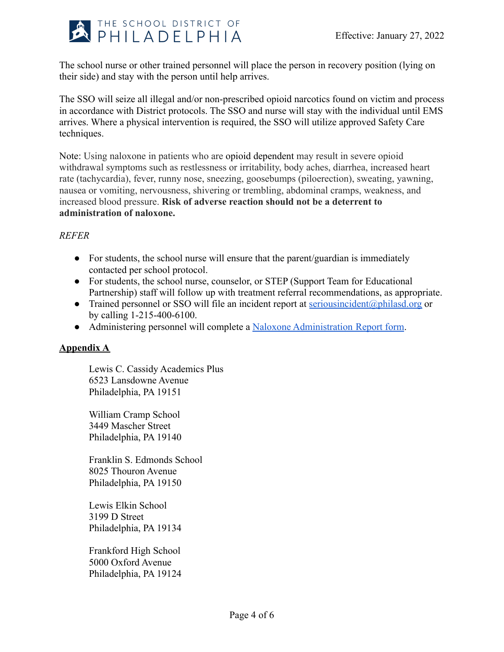

The school nurse or other trained personnel will place the person in recovery position (lying on their side) and stay with the person until help arrives.

The SSO will seize all illegal and/or non-prescribed opioid narcotics found on victim and process in accordance with District protocols. The SSO and nurse will stay with the individual until EMS arrives. Where a physical intervention is required, the SSO will utilize approved Safety Care techniques.

Note: Using naloxone in patients who are [opioid dependent](http://www.ncbi.nlm.nih.gov/pmc/articles/PMC2851054/) may result in severe opioid withdrawal symptoms such as restlessness or irritability, body aches, diarrhea, increased heart rate (tachycardia), fever, runny nose, sneezing, goosebumps (piloerection), sweating, yawning, nausea or vomiting, nervousness, shivering or trembling, abdominal cramps, weakness, and increased blood pressure. **Risk of adverse reaction should not be a deterrent to administration of naloxone.**

# *REFER*

- For students, the school nurse will ensure that the parent/guardian is immediately contacted per school protocol.
- For students, the school nurse, counselor, or STEP (Support Team for Educational Partnership) staff will follow up with treatment referral recommendations, as appropriate.
- Trained personnel or SSO will file an incident report at [seriousincident@philasd.org](mailto:seriousincident@philasd.org) or by calling 1-215-400-6100.
- Administering personnel will complete a [Naloxone Administration](https://docs.google.com/document/d/1AgMAxqUdRf4JXCaWD4JLnoqgqCZe8RkRBI7Jfvc7fW8/edit) Report form.

# **Appendix A**

Lewis C. Cassidy Academics Plus 6523 Lansdowne Avenue Philadelphia, PA 19151

William Cramp School 3449 Mascher Street Philadelphia, PA 19140

Franklin S. Edmonds School 8025 Thouron Avenue Philadelphia, PA 19150

Lewis Elkin School 3199 D Street Philadelphia, PA 19134

Frankford High School 5000 Oxford Avenue Philadelphia, PA 19124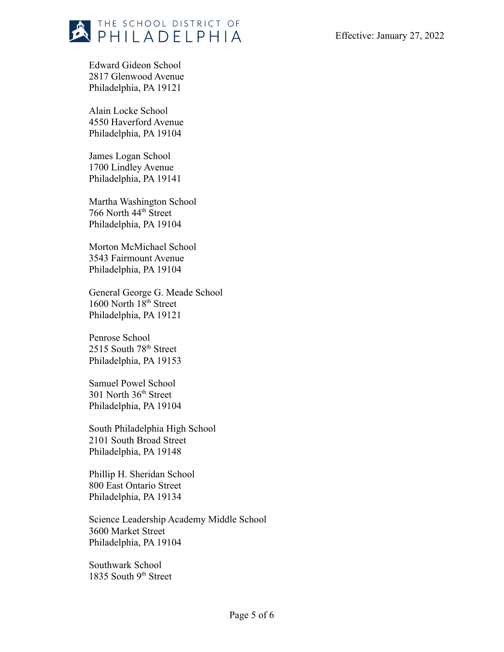

Edward Gideon School 2817 Glenwood Avenue Philadelphia, PA 19121

Alain Locke School 4550 Haverford Avenue Philadelphia, PA 19104

James Logan School 1700 Lindley Avenue Philadelphia, PA 19141

Martha Washington School 766 North 44th Street Philadelphia, PA 19104

Morton McMichael School 3543 Fairmount Avenue Philadelphia, PA 19104

General George G. Meade School 1600 North 18<sup>th</sup> Street Philadelphia, PA 19121

Penrose School 2515 South 78th Street Philadelphia, PA 19153

Samuel Powel School 301 North 36th Street Philadelphia, PA 19104

South Philadelphia High School 2101 South Broad Street Philadelphia, PA 19148

Phillip H. Sheridan School 800 East Ontario Street Philadelphia, PA 19134

Science Leadership Academy Middle School 3600 Market Street Philadelphia, PA 19104

Southwark School 1835 South 9<sup>th</sup> Street